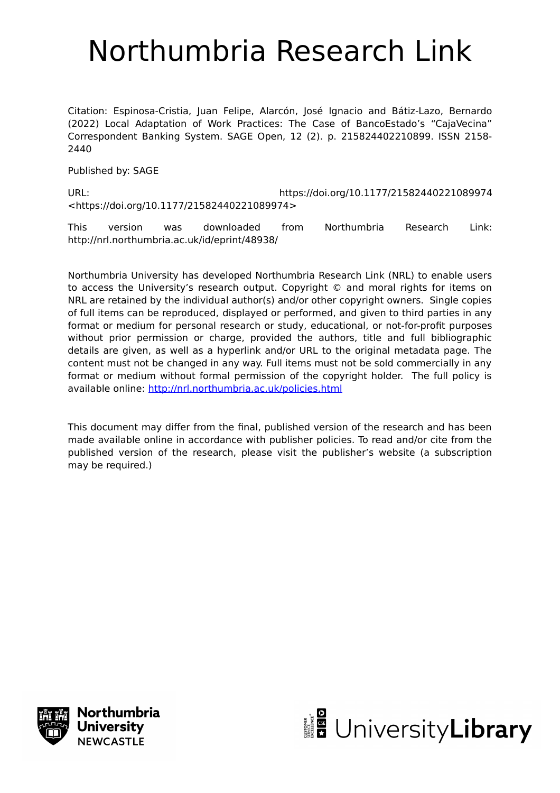# Northumbria Research Link

Citation: Espinosa-Cristia, Juan Felipe, Alarcón, José Ignacio and Bátiz-Lazo, Bernardo (2022) Local Adaptation of Work Practices: The Case of BancoEstado's "CajaVecina" Correspondent Banking System. SAGE Open, 12 (2). p. 215824402210899. ISSN 2158- 2440

Published by: SAGE

URL: https://doi.org/10.1177/21582440221089974 <https://doi.org/10.1177/21582440221089974>

This version was downloaded from Northumbria Research Link: http://nrl.northumbria.ac.uk/id/eprint/48938/

Northumbria University has developed Northumbria Research Link (NRL) to enable users to access the University's research output. Copyright © and moral rights for items on NRL are retained by the individual author(s) and/or other copyright owners. Single copies of full items can be reproduced, displayed or performed, and given to third parties in any format or medium for personal research or study, educational, or not-for-profit purposes without prior permission or charge, provided the authors, title and full bibliographic details are given, as well as a hyperlink and/or URL to the original metadata page. The content must not be changed in any way. Full items must not be sold commercially in any format or medium without formal permission of the copyright holder. The full policy is available online:<http://nrl.northumbria.ac.uk/policies.html>

This document may differ from the final, published version of the research and has been made available online in accordance with publisher policies. To read and/or cite from the published version of the research, please visit the publisher's website (a subscription may be required.)



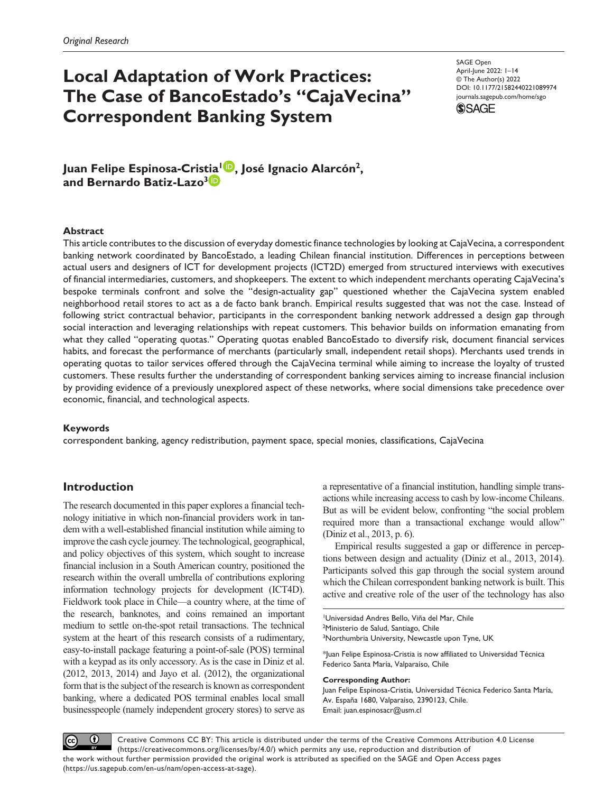# **Local Adaptation of Work Practices: The Case of BancoEstado's "CajaVecina" Correspondent Banking System**

DOI: 10.1177/21582440221089974 SAGE Open April-June 2022: 1–14 © The Author(s) 2022 [journals.sagepub.com/home/sgo](https://journals.sagepub.com/home/sgo)



Juan Felipe Espinosa-Cristia<sup>l D</sup>, José Ignacio Alarcón<sup>2</sup>, **and Bernardo Batiz-Lazo3**

### **Abstract**

This article contributes to the discussion of everyday domestic finance technologies by looking at CajaVecina, a correspondent banking network coordinated by BancoEstado, a leading Chilean financial institution. Differences in perceptions between actual users and designers of ICT for development projects (ICT2D) emerged from structured interviews with executives of financial intermediaries, customers, and shopkeepers. The extent to which independent merchants operating CajaVecina's bespoke terminals confront and solve the "design-actuality gap" questioned whether the CajaVecina system enabled neighborhood retail stores to act as a de facto bank branch. Empirical results suggested that was not the case. Instead of following strict contractual behavior, participants in the correspondent banking network addressed a design gap through social interaction and leveraging relationships with repeat customers. This behavior builds on information emanating from what they called "operating quotas." Operating quotas enabled BancoEstado to diversify risk, document financial services habits, and forecast the performance of merchants (particularly small, independent retail shops). Merchants used trends in operating quotas to tailor services offered through the CajaVecina terminal while aiming to increase the loyalty of trusted customers. These results further the understanding of correspondent banking services aiming to increase financial inclusion by providing evidence of a previously unexplored aspect of these networks, where social dimensions take precedence over economic, financial, and technological aspects.

#### **Keywords**

correspondent banking, agency redistribution, payment space, special monies, classifications, CajaVecina

# **Introduction**

The research documented in this paper explores a financial technology initiative in which non-financial providers work in tandem with a well-established financial institution while aiming to improve the cash cycle journey. The technological, geographical, and policy objectives of this system, which sought to increase financial inclusion in a South American country, positioned the research within the overall umbrella of contributions exploring information technology projects for development (ICT4D). Fieldwork took place in Chile—a country where, at the time of the research, banknotes, and coins remained an important medium to settle on-the-spot retail transactions. The technical system at the heart of this research consists of a rudimentary, easy-to-install package featuring a point-of-sale (POS) terminal with a keypad as its only accessory. As is the case in Diniz et al. (2012, 2013, 2014) and Jayo et al. (2012), the organizational form that is the subject of the research is known as correspondent banking, where a dedicated POS terminal enables local small businesspeople (namely independent grocery stores) to serve as a representative of a financial institution, handling simple transactions while increasing access to cash by low-income Chileans. But as will be evident below, confronting "the social problem required more than a transactional exchange would allow" (Diniz et al., 2013, p. 6).

Empirical results suggested a gap or difference in perceptions between design and actuality (Diniz et al., 2013, 2014). Participants solved this gap through the social system around which the Chilean correspondent banking network is built. This active and creative role of the user of the technology has also

\*Juan Felipe Espinosa-Cristia is now affiliated to Universidad Técnica Federico Santa María, Valparaíso, Chile

#### **Corresponding Author:**

Juan Felipe Espinosa-Cristia, Universidad Técnica Federico Santa María, Av. España 1680, Valparaíso, 2390123, Chile. Email: [juan.espinosacr@usm.cl](mailto:juan.felipe.espinosa@gmail.com)

 $\bf \odot$ Creative Commons CC BY: This article is distributed under the terms of the Creative Commons Attribution 4.0 License (https://creativecommons.org/licenses/by/4.0/) which permits any use, reproduction and distribution of the work without further permission provided the original work is attributed as specified on the SAGE and Open Access pages (https://us.sagepub.com/en-us/nam/open-access-at-sage).

<sup>1</sup> Universidad Andres Bello, Viña del Mar, Chile <sup>2</sup>Ministerio de Salud, Santiago, Chile <sup>3</sup>Northumbria University, Newcastle upon Tyne, UK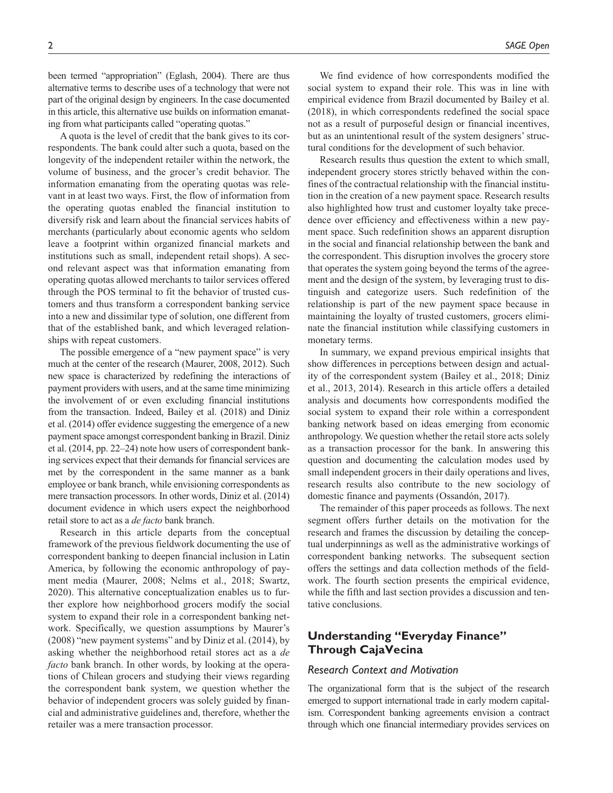been termed "appropriation" (Eglash, 2004). There are thus alternative terms to describe uses of a technology that were not part of the original design by engineers. In the case documented in this article, this alternative use builds on information emanating from what participants called "operating quotas."

A quota is the level of credit that the bank gives to its correspondents. The bank could alter such a quota, based on the longevity of the independent retailer within the network, the volume of business, and the grocer's credit behavior. The information emanating from the operating quotas was relevant in at least two ways. First, the flow of information from the operating quotas enabled the financial institution to diversify risk and learn about the financial services habits of merchants (particularly about economic agents who seldom leave a footprint within organized financial markets and institutions such as small, independent retail shops). A second relevant aspect was that information emanating from operating quotas allowed merchants to tailor services offered through the POS terminal to fit the behavior of trusted customers and thus transform a correspondent banking service into a new and dissimilar type of solution, one different from that of the established bank, and which leveraged relationships with repeat customers.

The possible emergence of a "new payment space" is very much at the center of the research (Maurer, 2008, 2012). Such new space is characterized by redefining the interactions of payment providers with users, and at the same time minimizing the involvement of or even excluding financial institutions from the transaction. Indeed, Bailey et al. (2018) and Diniz et al. (2014) offer evidence suggesting the emergence of a new payment space amongst correspondent banking in Brazil. Diniz et al. (2014, pp. 22–24) note how users of correspondent banking services expect that their demands for financial services are met by the correspondent in the same manner as a bank employee or bank branch, while envisioning correspondents as mere transaction processors. In other words, Diniz et al. (2014) document evidence in which users expect the neighborhood retail store to act as a *de facto* bank branch.

Research in this article departs from the conceptual framework of the previous fieldwork documenting the use of correspondent banking to deepen financial inclusion in Latin America, by following the economic anthropology of payment media (Maurer, 2008; Nelms et al., 2018; Swartz, 2020). This alternative conceptualization enables us to further explore how neighborhood grocers modify the social system to expand their role in a correspondent banking network. Specifically, we question assumptions by Maurer's (2008) "new payment systems" and by Diniz et al. (2014), by asking whether the neighborhood retail stores act as a *de facto* bank branch. In other words, by looking at the operations of Chilean grocers and studying their views regarding the correspondent bank system, we question whether the behavior of independent grocers was solely guided by financial and administrative guidelines and, therefore, whether the retailer was a mere transaction processor.

We find evidence of how correspondents modified the social system to expand their role. This was in line with empirical evidence from Brazil documented by Bailey et al. (2018), in which correspondents redefined the social space not as a result of purposeful design or financial incentives, but as an unintentional result of the system designers' structural conditions for the development of such behavior.

Research results thus question the extent to which small, independent grocery stores strictly behaved within the confines of the contractual relationship with the financial institution in the creation of a new payment space. Research results also highlighted how trust and customer loyalty take precedence over efficiency and effectiveness within a new payment space. Such redefinition shows an apparent disruption in the social and financial relationship between the bank and the correspondent. This disruption involves the grocery store that operates the system going beyond the terms of the agreement and the design of the system, by leveraging trust to distinguish and categorize users. Such redefinition of the relationship is part of the new payment space because in maintaining the loyalty of trusted customers, grocers eliminate the financial institution while classifying customers in monetary terms.

In summary, we expand previous empirical insights that show differences in perceptions between design and actuality of the correspondent system (Bailey et al., 2018; Diniz et al., 2013, 2014). Research in this article offers a detailed analysis and documents how correspondents modified the social system to expand their role within a correspondent banking network based on ideas emerging from economic anthropology. We question whether the retail store acts solely as a transaction processor for the bank. In answering this question and documenting the calculation modes used by small independent grocers in their daily operations and lives, research results also contribute to the new sociology of domestic finance and payments (Ossandón, 2017).

The remainder of this paper proceeds as follows. The next segment offers further details on the motivation for the research and frames the discussion by detailing the conceptual underpinnings as well as the administrative workings of correspondent banking networks. The subsequent section offers the settings and data collection methods of the fieldwork. The fourth section presents the empirical evidence, while the fifth and last section provides a discussion and tentative conclusions.

# **Understanding "Everyday Finance" Through CajaVecina**

#### *Research Context and Motivation*

The organizational form that is the subject of the research emerged to support international trade in early modern capitalism. Correspondent banking agreements envision a contract through which one financial intermediary provides services on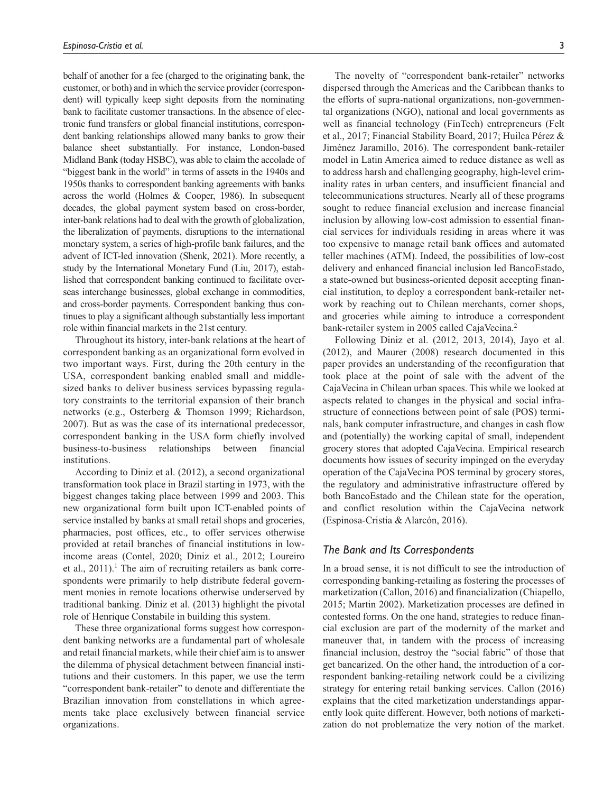behalf of another for a fee (charged to the originating bank, the customer, or both) and in which the service provider (correspondent) will typically keep sight deposits from the nominating bank to facilitate customer transactions. In the absence of electronic fund transfers or global financial institutions, correspondent banking relationships allowed many banks to grow their balance sheet substantially. For instance, London-based Midland Bank (today HSBC), was able to claim the accolade of "biggest bank in the world" in terms of assets in the 1940s and 1950s thanks to correspondent banking agreements with banks across the world (Holmes & Cooper, 1986). In subsequent decades, the global payment system based on cross-border, inter-bank relations had to deal with the growth of globalization, the liberalization of payments, disruptions to the international monetary system, a series of high-profile bank failures, and the advent of ICT-led innovation (Shenk, 2021). More recently, a study by the International Monetary Fund (Liu, 2017), established that correspondent banking continued to facilitate overseas interchange businesses, global exchange in commodities, and cross-border payments. Correspondent banking thus continues to play a significant although substantially less important role within financial markets in the 21st century.

Throughout its history, inter-bank relations at the heart of correspondent banking as an organizational form evolved in two important ways. First, during the 20th century in the USA, correspondent banking enabled small and middlesized banks to deliver business services bypassing regulatory constraints to the territorial expansion of their branch networks (e.g., Osterberg & Thomson 1999; Richardson, 2007). But as was the case of its international predecessor, correspondent banking in the USA form chiefly involved business-to-business relationships between financial institutions.

According to Diniz et al. (2012), a second organizational transformation took place in Brazil starting in 1973, with the biggest changes taking place between 1999 and 2003. This new organizational form built upon ICT-enabled points of service installed by banks at small retail shops and groceries, pharmacies, post offices, etc., to offer services otherwise provided at retail branches of financial institutions in lowincome areas (Contel, 2020; Diniz et al., 2012; Loureiro et al.,  $2011$ ).<sup>1</sup> The aim of recruiting retailers as bank correspondents were primarily to help distribute federal government monies in remote locations otherwise underserved by traditional banking. Diniz et al. (2013) highlight the pivotal role of Henrique Constabile in building this system.

These three organizational forms suggest how correspondent banking networks are a fundamental part of wholesale and retail financial markets, while their chief aim is to answer the dilemma of physical detachment between financial institutions and their customers. In this paper, we use the term "correspondent bank-retailer" to denote and differentiate the Brazilian innovation from constellations in which agreements take place exclusively between financial service organizations.

The novelty of "correspondent bank-retailer" networks dispersed through the Americas and the Caribbean thanks to the efforts of supra-national organizations, non-governmental organizations (NGO), national and local governments as well as financial technology (FinTech) entrepreneurs (Felt et al., 2017; Financial Stability Board, 2017; Huilca Pérez & Jiménez Jaramillo, 2016). The correspondent bank-retailer model in Latin America aimed to reduce distance as well as to address harsh and challenging geography, high-level criminality rates in urban centers, and insufficient financial and telecommunications structures. Nearly all of these programs sought to reduce financial exclusion and increase financial inclusion by allowing low-cost admission to essential financial services for individuals residing in areas where it was too expensive to manage retail bank offices and automated teller machines (ATM). Indeed, the possibilities of low-cost delivery and enhanced financial inclusion led BancoEstado, a state-owned but business-oriented deposit accepting financial institution, to deploy a correspondent bank-retailer network by reaching out to Chilean merchants, corner shops, and groceries while aiming to introduce a correspondent bank-retailer system in 2005 called CajaVecina.<sup>2</sup>

Following Diniz et al. (2012, 2013, 2014), Jayo et al. (2012), and Maurer (2008) research documented in this paper provides an understanding of the reconfiguration that took place at the point of sale with the advent of the CajaVecina in Chilean urban spaces. This while we looked at aspects related to changes in the physical and social infrastructure of connections between point of sale (POS) terminals, bank computer infrastructure, and changes in cash flow and (potentially) the working capital of small, independent grocery stores that adopted CajaVecina. Empirical research documents how issues of security impinged on the everyday operation of the CajaVecina POS terminal by grocery stores, the regulatory and administrative infrastructure offered by both BancoEstado and the Chilean state for the operation, and conflict resolution within the CajaVecina network (Espinosa-Cristia & Alarcón, 2016).

# *The Bank and Its Correspondents*

In a broad sense, it is not difficult to see the introduction of corresponding banking-retailing as fostering the processes of marketization (Callon, 2016) and financialization (Chiapello, 2015; Martin 2002). Marketization processes are defined in contested forms. On the one hand, strategies to reduce financial exclusion are part of the modernity of the market and maneuver that, in tandem with the process of increasing financial inclusion, destroy the "social fabric" of those that get bancarized. On the other hand, the introduction of a correspondent banking-retailing network could be a civilizing strategy for entering retail banking services. Callon (2016) explains that the cited marketization understandings apparently look quite different. However, both notions of marketization do not problematize the very notion of the market.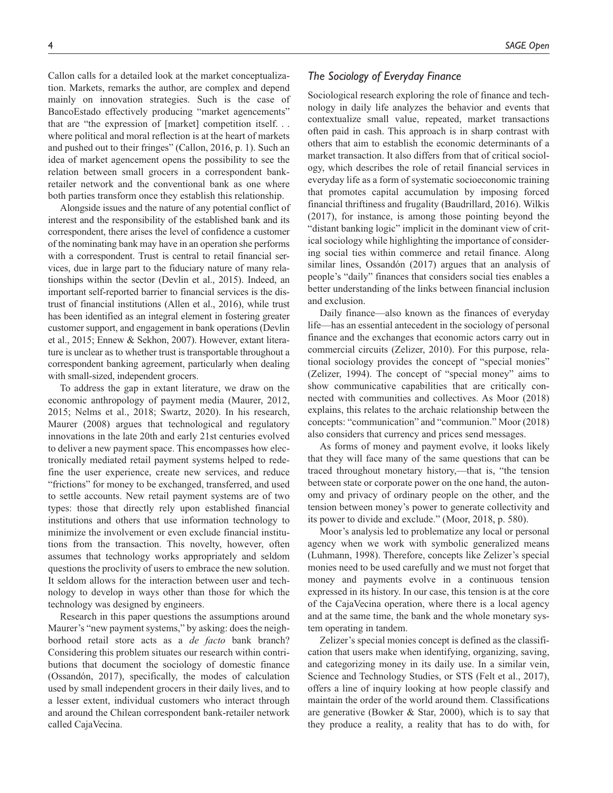Callon calls for a detailed look at the market conceptualization. Markets, remarks the author, are complex and depend mainly on innovation strategies. Such is the case of BancoEstado effectively producing "market agencements" that are "the expression of [market] competition itself. . . where political and moral reflection is at the heart of markets and pushed out to their fringes" (Callon, 2016, p. 1). Such an idea of market agencement opens the possibility to see the relation between small grocers in a correspondent bankretailer network and the conventional bank as one where both parties transform once they establish this relationship.

Alongside issues and the nature of any potential conflict of interest and the responsibility of the established bank and its correspondent, there arises the level of confidence a customer of the nominating bank may have in an operation she performs with a correspondent. Trust is central to retail financial services, due in large part to the fiduciary nature of many relationships within the sector (Devlin et al., 2015). Indeed, an important self-reported barrier to financial services is the distrust of financial institutions (Allen et al., 2016), while trust has been identified as an integral element in fostering greater customer support, and engagement in bank operations (Devlin et al., 2015; Ennew & Sekhon, 2007). However, extant literature is unclear as to whether trust is transportable throughout a correspondent banking agreement, particularly when dealing with small-sized, independent grocers.

To address the gap in extant literature, we draw on the economic anthropology of payment media (Maurer, 2012, 2015; Nelms et al., 2018; Swartz, 2020). In his research, Maurer (2008) argues that technological and regulatory innovations in the late 20th and early 21st centuries evolved to deliver a new payment space. This encompasses how electronically mediated retail payment systems helped to redefine the user experience, create new services, and reduce "frictions" for money to be exchanged, transferred, and used to settle accounts. New retail payment systems are of two types: those that directly rely upon established financial institutions and others that use information technology to minimize the involvement or even exclude financial institutions from the transaction. This novelty, however, often assumes that technology works appropriately and seldom questions the proclivity of users to embrace the new solution. It seldom allows for the interaction between user and technology to develop in ways other than those for which the technology was designed by engineers.

Research in this paper questions the assumptions around Maurer's "new payment systems," by asking: does the neighborhood retail store acts as a *de facto* bank branch? Considering this problem situates our research within contributions that document the sociology of domestic finance (Ossandón, 2017), specifically, the modes of calculation used by small independent grocers in their daily lives, and to a lesser extent, individual customers who interact through and around the Chilean correspondent bank-retailer network called CajaVecina.

# *The Sociology of Everyday Finance*

Sociological research exploring the role of finance and technology in daily life analyzes the behavior and events that contextualize small value, repeated, market transactions often paid in cash. This approach is in sharp contrast with others that aim to establish the economic determinants of a market transaction. It also differs from that of critical sociology, which describes the role of retail financial services in everyday life as a form of systematic socioeconomic training that promotes capital accumulation by imposing forced financial thriftiness and frugality (Baudrillard, 2016). Wilkis (2017), for instance, is among those pointing beyond the "distant banking logic" implicit in the dominant view of critical sociology while highlighting the importance of considering social ties within commerce and retail finance. Along similar lines, Ossandón (2017) argues that an analysis of people's "daily" finances that considers social ties enables a better understanding of the links between financial inclusion and exclusion.

Daily finance—also known as the finances of everyday life—has an essential antecedent in the sociology of personal finance and the exchanges that economic actors carry out in commercial circuits (Zelizer, 2010). For this purpose, relational sociology provides the concept of "special monies" (Zelizer, 1994). The concept of "special money" aims to show communicative capabilities that are critically connected with communities and collectives. As Moor (2018) explains, this relates to the archaic relationship between the concepts: "communication" and "communion." Moor (2018) also considers that currency and prices send messages.

As forms of money and payment evolve, it looks likely that they will face many of the same questions that can be traced throughout monetary history,—that is, "the tension between state or corporate power on the one hand, the autonomy and privacy of ordinary people on the other, and the tension between money's power to generate collectivity and its power to divide and exclude." (Moor, 2018, p. 580).

Moor's analysis led to problematize any local or personal agency when we work with symbolic generalized means (Luhmann, 1998). Therefore, concepts like Zelizer's special monies need to be used carefully and we must not forget that money and payments evolve in a continuous tension expressed in its history. In our case, this tension is at the core of the CajaVecina operation, where there is a local agency and at the same time, the bank and the whole monetary system operating in tandem.

Zelizer's special monies concept is defined as the classification that users make when identifying, organizing, saving, and categorizing money in its daily use. In a similar vein, Science and Technology Studies, or STS (Felt et al., 2017), offers a line of inquiry looking at how people classify and maintain the order of the world around them. Classifications are generative (Bowker & Star, 2000), which is to say that they produce a reality, a reality that has to do with, for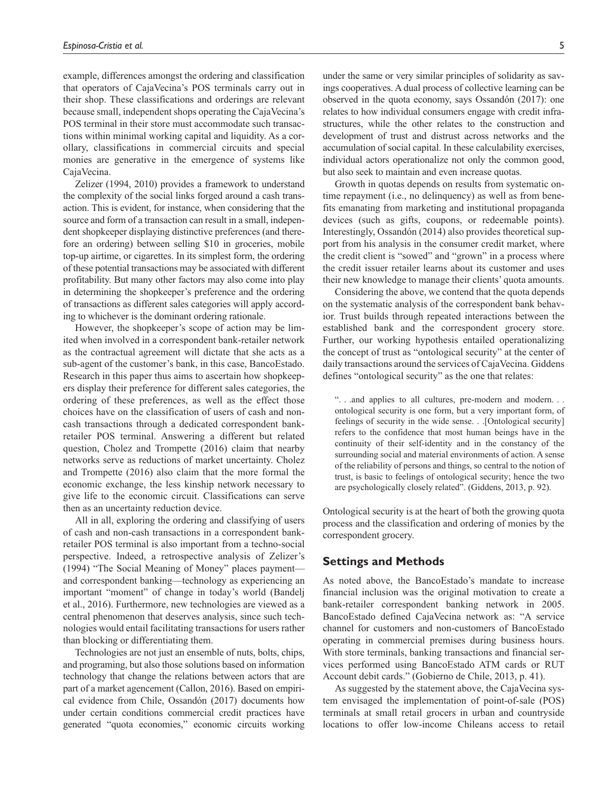example, differences amongst the ordering and classification that operators of CajaVecina's POS terminals carry out in their shop. These classifications and orderings are relevant because small, independent shops operating the CajaVecina's POS terminal in their store must accommodate such transactions within minimal working capital and liquidity. As a corollary, classifications in commercial circuits and special monies are generative in the emergence of systems like CajaVecina.

Zelizer (1994, 2010) provides a framework to understand the complexity of the social links forged around a cash transaction. This is evident, for instance, when considering that the source and form of a transaction can result in a small, independent shopkeeper displaying distinctive preferences (and therefore an ordering) between selling \$10 in groceries, mobile top-up airtime, or cigarettes. In its simplest form, the ordering of these potential transactions may be associated with different profitability. But many other factors may also come into play in determining the shopkeeper's preference and the ordering of transactions as different sales categories will apply according to whichever is the dominant ordering rationale.

However, the shopkeeper's scope of action may be limited when involved in a correspondent bank-retailer network as the contractual agreement will dictate that she acts as a sub-agent of the customer's bank, in this case, BancoEstado. Research in this paper thus aims to ascertain how shopkeepers display their preference for different sales categories, the ordering of these preferences, as well as the effect those choices have on the classification of users of cash and noncash transactions through a dedicated correspondent bankretailer POS terminal. Answering a different but related question, Cholez and Trompette (2016) claim that nearby networks serve as reductions of market uncertainty. Cholez and Trompette (2016) also claim that the more formal the economic exchange, the less kinship network necessary to give life to the economic circuit. Classifications can serve then as an uncertainty reduction device.

All in all, exploring the ordering and classifying of users of cash and non-cash transactions in a correspondent bankretailer POS terminal is also important from a techno-social perspective. Indeed, a retrospective analysis of Zelizer's (1994) "The Social Meaning of Money" places payment and correspondent banking—technology as experiencing an important "moment" of change in today's world (Bandelj et al., 2016). Furthermore, new technologies are viewed as a central phenomenon that deserves analysis, since such technologies would entail facilitating transactions for users rather than blocking or differentiating them.

Technologies are not just an ensemble of nuts, bolts, chips, and programing, but also those solutions based on information technology that change the relations between actors that are part of a market agencement (Callon, 2016). Based on empirical evidence from Chile, Ossandón (2017) documents how under certain conditions commercial credit practices have generated "quota economies," economic circuits working

under the same or very similar principles of solidarity as savings cooperatives. A dual process of collective learning can be observed in the quota economy, says Ossandón (2017): one relates to how individual consumers engage with credit infrastructures, while the other relates to the construction and development of trust and distrust across networks and the accumulation of social capital. In these calculability exercises, individual actors operationalize not only the common good, but also seek to maintain and even increase quotas.

Growth in quotas depends on results from systematic ontime repayment (i.e., no delinquency) as well as from benefits emanating from marketing and institutional propaganda devices (such as gifts, coupons, or redeemable points). Interestingly, Ossandón (2014) also provides theoretical support from his analysis in the consumer credit market, where the credit client is "sowed" and "grown" in a process where the credit issuer retailer learns about its customer and uses their new knowledge to manage their clients' quota amounts.

Considering the above, we contend that the quota depends on the systematic analysis of the correspondent bank behavior. Trust builds through repeated interactions between the established bank and the correspondent grocery store. Further, our working hypothesis entailed operationalizing the concept of trust as "ontological security" at the center of daily transactions around the services of CajaVecina. Giddens defines "ontological security" as the one that relates:

". . .and applies to all cultures, pre-modern and modern. . . ontological security is one form, but a very important form, of feelings of security in the wide sense. . .[Ontological security] refers to the confidence that most human beings have in the continuity of their self-identity and in the constancy of the surrounding social and material environments of action. A sense of the reliability of persons and things, so central to the notion of trust, is basic to feelings of ontological security; hence the two are psychologically closely related". (Giddens, 2013, p. 92).

Ontological security is at the heart of both the growing quota process and the classification and ordering of monies by the correspondent grocery.

# **Settings and Methods**

As noted above, the BancoEstado's mandate to increase financial inclusion was the original motivation to create a bank-retailer correspondent banking network in 2005. BancoEstado defined CajaVecina network as: "A service channel for customers and non-customers of BancoEstado operating in commercial premises during business hours. With store terminals, banking transactions and financial services performed using BancoEstado ATM cards or RUT Account debit cards." (Gobierno de Chile, 2013, p. 41).

As suggested by the statement above, the CajaVecina system envisaged the implementation of point-of-sale (POS) terminals at small retail grocers in urban and countryside locations to offer low-income Chileans access to retail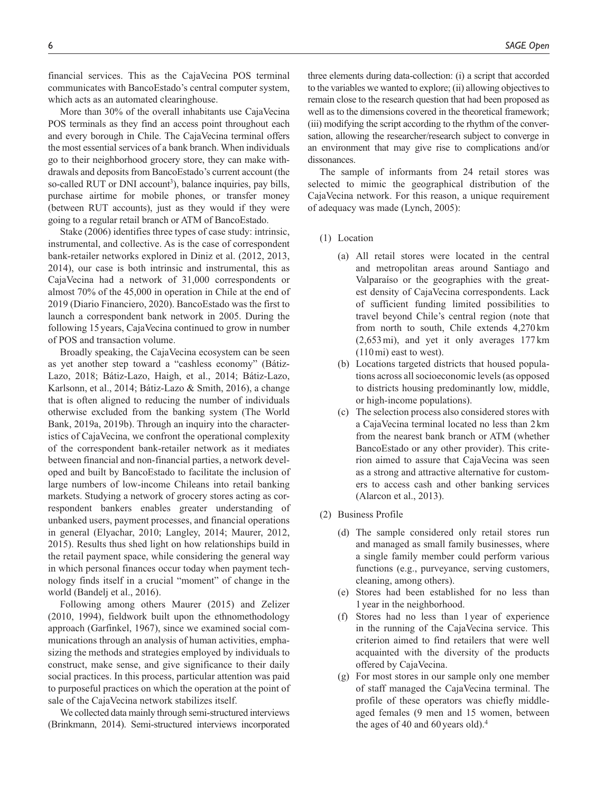financial services. This as the CajaVecina POS terminal communicates with BancoEstado's central computer system, which acts as an automated clearinghouse.

More than 30% of the overall inhabitants use CajaVecina POS terminals as they find an access point throughout each and every borough in Chile. The CajaVecina terminal offers the most essential services of a bank branch. When individuals go to their neighborhood grocery store, they can make withdrawals and deposits from BancoEstado's current account (the so-called RUT or DNI account<sup>3</sup>), balance inquiries, pay bills, purchase airtime for mobile phones, or transfer money (between RUT accounts), just as they would if they were going to a regular retail branch or ATM of BancoEstado.

Stake (2006) identifies three types of case study: intrinsic, instrumental, and collective. As is the case of correspondent bank-retailer networks explored in Diniz et al. (2012, 2013, 2014), our case is both intrinsic and instrumental, this as CajaVecina had a network of 31,000 correspondents or almost 70% of the 45,000 in operation in Chile at the end of 2019 (Diario Financiero, 2020). BancoEstado was the first to launch a correspondent bank network in 2005. During the following 15years, CajaVecina continued to grow in number of POS and transaction volume.

Broadly speaking, the CajaVecina ecosystem can be seen as yet another step toward a "cashless economy" (Bátiz-Lazo, 2018; Bátiz-Lazo, Haigh, et al., 2014; Bátiz-Lazo, Karlsonn, et al., 2014; Bátiz-Lazo & Smith, 2016), a change that is often aligned to reducing the number of individuals otherwise excluded from the banking system (The World Bank, 2019a, 2019b). Through an inquiry into the characteristics of CajaVecina, we confront the operational complexity of the correspondent bank-retailer network as it mediates between financial and non-financial parties, a network developed and built by BancoEstado to facilitate the inclusion of large numbers of low-income Chileans into retail banking markets. Studying a network of grocery stores acting as correspondent bankers enables greater understanding of unbanked users, payment processes, and financial operations in general (Elyachar, 2010; Langley, 2014; Maurer, 2012, 2015). Results thus shed light on how relationships build in the retail payment space, while considering the general way in which personal finances occur today when payment technology finds itself in a crucial "moment" of change in the world (Bandelj et al., 2016).

Following among others Maurer (2015) and Zelizer (2010, 1994), fieldwork built upon the ethnomethodology approach (Garfinkel, 1967), since we examined social communications through an analysis of human activities, emphasizing the methods and strategies employed by individuals to construct, make sense, and give significance to their daily social practices. In this process, particular attention was paid to purposeful practices on which the operation at the point of sale of the CajaVecina network stabilizes itself.

We collected data mainly through semi-structured interviews (Brinkmann, 2014). Semi-structured interviews incorporated

three elements during data-collection: (i) a script that accorded to the variables we wanted to explore; (ii) allowing objectives to remain close to the research question that had been proposed as well as to the dimensions covered in the theoretical framework; (iii) modifying the script according to the rhythm of the conversation, allowing the researcher/research subject to converge in an environment that may give rise to complications and/or dissonances.

The sample of informants from 24 retail stores was selected to mimic the geographical distribution of the CajaVecina network. For this reason, a unique requirement of adequacy was made (Lynch, 2005):

- (1) Location
	- (a) All retail stores were located in the central and metropolitan areas around Santiago and Valparaíso or the geographies with the greatest density of CajaVecina correspondents. Lack of sufficient funding limited possibilities to travel beyond Chile's central region (note that from north to south, Chile extends 4,270 km (2,653mi), and yet it only averages 177 km (110mi) east to west).
	- (b) Locations targeted districts that housed populations across all socioeconomic levels (as opposed to districts housing predominantly low, middle, or high-income populations).
	- (c) The selection process also considered stores with a CajaVecina terminal located no less than 2km from the nearest bank branch or ATM (whether BancoEstado or any other provider). This criterion aimed to assure that CajaVecina was seen as a strong and attractive alternative for customers to access cash and other banking services (Alarcon et al., 2013).
- (2) Business Profile
	- (d) The sample considered only retail stores run and managed as small family businesses, where a single family member could perform various functions (e.g., purveyance, serving customers, cleaning, among others).
	- (e) Stores had been established for no less than 1year in the neighborhood.
	- (f) Stores had no less than 1year of experience in the running of the CajaVecina service. This criterion aimed to find retailers that were well acquainted with the diversity of the products offered by CajaVecina.
	- (g) For most stores in our sample only one member of staff managed the CajaVecina terminal. The profile of these operators was chiefly middleaged females (9 men and 15 women, between the ages of 40 and 60 years old).<sup>4</sup>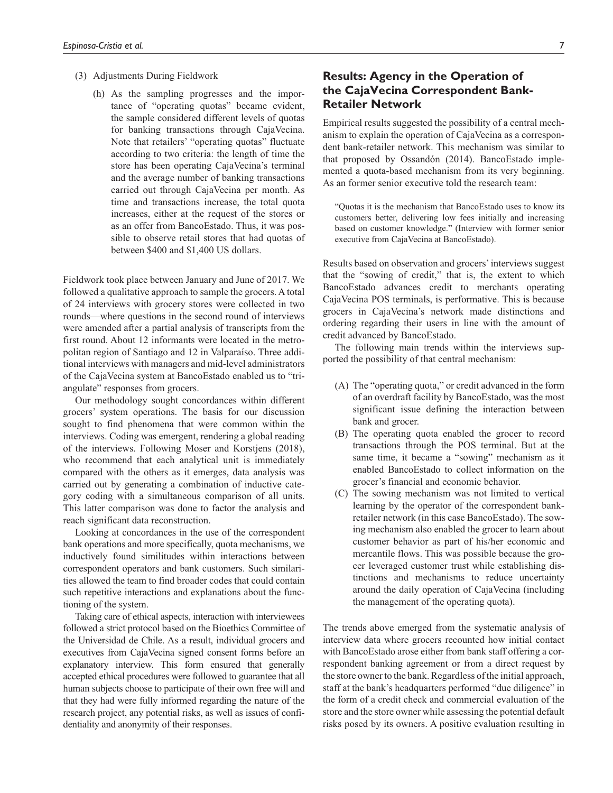- (3) Adjustments During Fieldwork
	- (h) As the sampling progresses and the importance of "operating quotas" became evident, the sample considered different levels of quotas for banking transactions through CajaVecina. Note that retailers' "operating quotas" fluctuate according to two criteria: the length of time the store has been operating CajaVecina's terminal and the average number of banking transactions carried out through CajaVecina per month. As time and transactions increase, the total quota increases, either at the request of the stores or as an offer from BancoEstado. Thus, it was possible to observe retail stores that had quotas of between \$400 and \$1,400 US dollars.

Fieldwork took place between January and June of 2017. We followed a qualitative approach to sample the grocers. A total of 24 interviews with grocery stores were collected in two rounds—where questions in the second round of interviews were amended after a partial analysis of transcripts from the first round. About 12 informants were located in the metropolitan region of Santiago and 12 in Valparaíso. Three additional interviews with managers and mid-level administrators of the CajaVecina system at BancoEstado enabled us to "triangulate" responses from grocers.

Our methodology sought concordances within different grocers' system operations. The basis for our discussion sought to find phenomena that were common within the interviews. Coding was emergent, rendering a global reading of the interviews. Following Moser and Korstjens (2018), who recommend that each analytical unit is immediately compared with the others as it emerges, data analysis was carried out by generating a combination of inductive category coding with a simultaneous comparison of all units. This latter comparison was done to factor the analysis and reach significant data reconstruction.

Looking at concordances in the use of the correspondent bank operations and more specifically, quota mechanisms, we inductively found similitudes within interactions between correspondent operators and bank customers. Such similarities allowed the team to find broader codes that could contain such repetitive interactions and explanations about the functioning of the system.

Taking care of ethical aspects, interaction with interviewees followed a strict protocol based on the Bioethics Committee of the Universidad de Chile. As a result, individual grocers and executives from CajaVecina signed consent forms before an explanatory interview. This form ensured that generally accepted ethical procedures were followed to guarantee that all human subjects choose to participate of their own free will and that they had were fully informed regarding the nature of the research project, any potential risks, as well as issues of confidentiality and anonymity of their responses.

# **Results: Agency in the Operation of the CajaVecina Correspondent Bank-Retailer Network**

Empirical results suggested the possibility of a central mechanism to explain the operation of CajaVecina as a correspondent bank-retailer network. This mechanism was similar to that proposed by Ossandón (2014). BancoEstado implemented a quota-based mechanism from its very beginning. As an former senior executive told the research team:

"Quotas it is the mechanism that BancoEstado uses to know its customers better, delivering low fees initially and increasing based on customer knowledge." (Interview with former senior executive from CajaVecina at BancoEstado).

Results based on observation and grocers' interviews suggest that the "sowing of credit," that is, the extent to which BancoEstado advances credit to merchants operating CajaVecina POS terminals, is performative. This is because grocers in CajaVecina's network made distinctions and ordering regarding their users in line with the amount of credit advanced by BancoEstado.

The following main trends within the interviews supported the possibility of that central mechanism:

- (A) The "operating quota," or credit advanced in the form of an overdraft facility by BancoEstado, was the most significant issue defining the interaction between bank and grocer.
- (B) The operating quota enabled the grocer to record transactions through the POS terminal. But at the same time, it became a "sowing" mechanism as it enabled BancoEstado to collect information on the grocer's financial and economic behavior.
- (C) The sowing mechanism was not limited to vertical learning by the operator of the correspondent bankretailer network (in this case BancoEstado). The sowing mechanism also enabled the grocer to learn about customer behavior as part of his/her economic and mercantile flows. This was possible because the grocer leveraged customer trust while establishing distinctions and mechanisms to reduce uncertainty around the daily operation of CajaVecina (including the management of the operating quota).

The trends above emerged from the systematic analysis of interview data where grocers recounted how initial contact with BancoEstado arose either from bank staff offering a correspondent banking agreement or from a direct request by the store owner to the bank. Regardless of the initial approach, staff at the bank's headquarters performed "due diligence" in the form of a credit check and commercial evaluation of the store and the store owner while assessing the potential default risks posed by its owners. A positive evaluation resulting in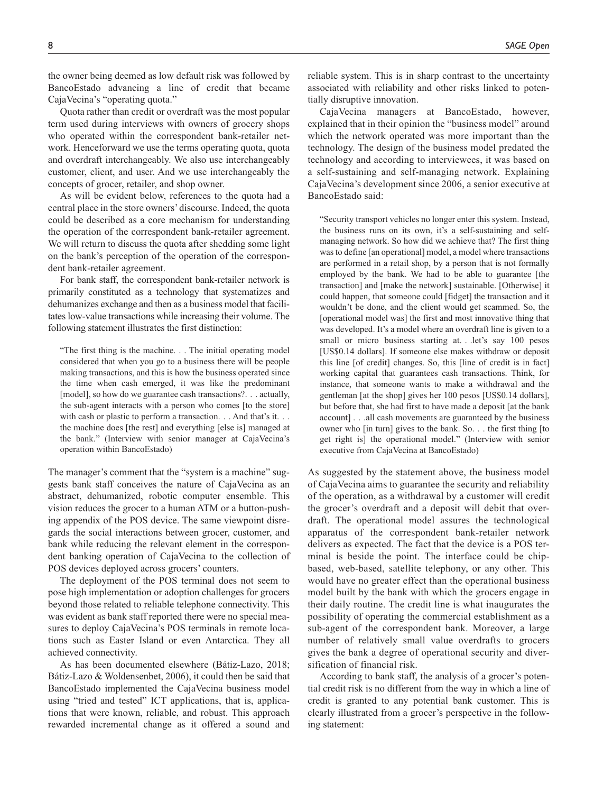the owner being deemed as low default risk was followed by BancoEstado advancing a line of credit that became CajaVecina's "operating quota."

Quota rather than credit or overdraft was the most popular term used during interviews with owners of grocery shops who operated within the correspondent bank-retailer network. Henceforward we use the terms operating quota, quota and overdraft interchangeably. We also use interchangeably customer, client, and user. And we use interchangeably the concepts of grocer, retailer, and shop owner.

As will be evident below, references to the quota had a central place in the store owners' discourse. Indeed, the quota could be described as a core mechanism for understanding the operation of the correspondent bank-retailer agreement. We will return to discuss the quota after shedding some light on the bank's perception of the operation of the correspondent bank-retailer agreement.

For bank staff, the correspondent bank-retailer network is primarily constituted as a technology that systematizes and dehumanizes exchange and then as a business model that facilitates low-value transactions while increasing their volume. The following statement illustrates the first distinction:

"The first thing is the machine. . . The initial operating model considered that when you go to a business there will be people making transactions, and this is how the business operated since the time when cash emerged, it was like the predominant [model], so how do we guarantee cash transactions?. . . actually, the sub-agent interacts with a person who comes [to the store] with cash or plastic to perform a transaction. . . And that's it. . . the machine does [the rest] and everything [else is] managed at the bank." (Interview with senior manager at CajaVecina's operation within BancoEstado)

The manager's comment that the "system is a machine" suggests bank staff conceives the nature of CajaVecina as an abstract, dehumanized, robotic computer ensemble. This vision reduces the grocer to a human ATM or a button-pushing appendix of the POS device. The same viewpoint disregards the social interactions between grocer, customer, and bank while reducing the relevant element in the correspondent banking operation of CajaVecina to the collection of POS devices deployed across grocers' counters.

The deployment of the POS terminal does not seem to pose high implementation or adoption challenges for grocers beyond those related to reliable telephone connectivity. This was evident as bank staff reported there were no special measures to deploy CajaVecina's POS terminals in remote locations such as Easter Island or even Antarctica. They all achieved connectivity.

As has been documented elsewhere (Bátiz-Lazo, 2018; Bátiz-Lazo & Woldensenbet, 2006), it could then be said that BancoEstado implemented the CajaVecina business model using "tried and tested" ICT applications, that is, applications that were known, reliable, and robust. This approach rewarded incremental change as it offered a sound and reliable system. This is in sharp contrast to the uncertainty associated with reliability and other risks linked to potentially disruptive innovation.

CajaVecina managers at BancoEstado, however, explained that in their opinion the "business model" around which the network operated was more important than the technology. The design of the business model predated the technology and according to interviewees, it was based on a self-sustaining and self-managing network. Explaining CajaVecina's development since 2006, a senior executive at BancoEstado said:

"Security transport vehicles no longer enter this system. Instead, the business runs on its own, it's a self-sustaining and selfmanaging network. So how did we achieve that? The first thing was to define [an operational] model, a model where transactions are performed in a retail shop, by a person that is not formally employed by the bank. We had to be able to guarantee [the transaction] and [make the network] sustainable. [Otherwise] it could happen, that someone could [fidget] the transaction and it wouldn't be done, and the client would get scammed. So, the [operational model was] the first and most innovative thing that was developed. It's a model where an overdraft line is given to a small or micro business starting at. . .let's say 100 pesos [US\$0.14 dollars]. If someone else makes withdraw or deposit this line [of credit] changes. So, this [line of credit is in fact] working capital that guarantees cash transactions. Think, for instance, that someone wants to make a withdrawal and the gentleman [at the shop] gives her 100 pesos [US\$0.14 dollars], but before that, she had first to have made a deposit [at the bank account] . . .all cash movements are guaranteed by the business owner who [in turn] gives to the bank. So. . . the first thing [to get right is] the operational model." (Interview with senior executive from CajaVecina at BancoEstado)

As suggested by the statement above, the business model of CajaVecina aims to guarantee the security and reliability of the operation, as a withdrawal by a customer will credit the grocer's overdraft and a deposit will debit that overdraft. The operational model assures the technological apparatus of the correspondent bank-retailer network delivers as expected. The fact that the device is a POS terminal is beside the point. The interface could be chipbased, web-based, satellite telephony, or any other. This would have no greater effect than the operational business model built by the bank with which the grocers engage in their daily routine. The credit line is what inaugurates the possibility of operating the commercial establishment as a sub-agent of the correspondent bank. Moreover, a large number of relatively small value overdrafts to grocers gives the bank a degree of operational security and diversification of financial risk.

According to bank staff, the analysis of a grocer's potential credit risk is no different from the way in which a line of credit is granted to any potential bank customer. This is clearly illustrated from a grocer's perspective in the following statement: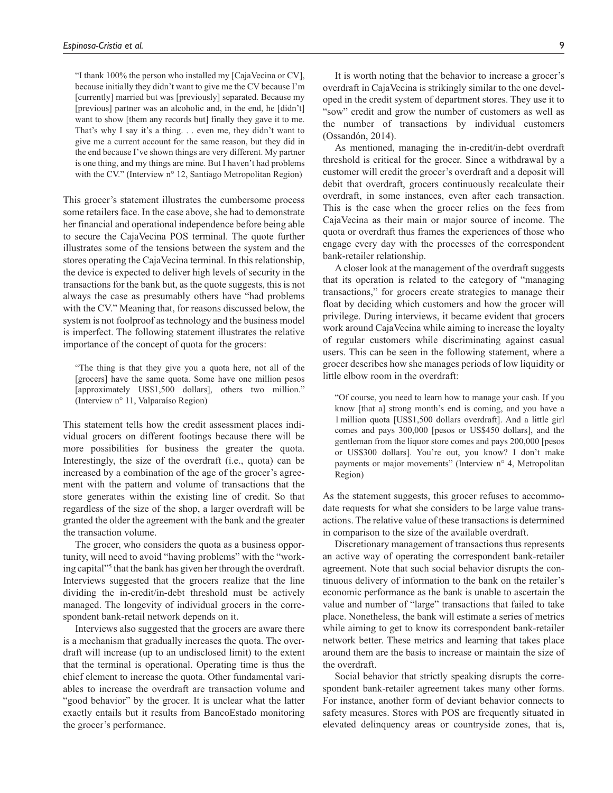"I thank 100% the person who installed my [CajaVecina or CV], because initially they didn't want to give me the CV because I'm [currently] married but was [previously] separated. Because my [previous] partner was an alcoholic and, in the end, he [didn't] want to show [them any records but] finally they gave it to me. That's why I say it's a thing. . . even me, they didn't want to give me a current account for the same reason, but they did in the end because I've shown things are very different. My partner is one thing, and my things are mine. But I haven't had problems with the CV." (Interview n° 12, Santiago Metropolitan Region)

This grocer's statement illustrates the cumbersome process some retailers face. In the case above, she had to demonstrate her financial and operational independence before being able to secure the CajaVecina POS terminal. The quote further illustrates some of the tensions between the system and the stores operating the CajaVecina terminal. In this relationship, the device is expected to deliver high levels of security in the transactions for the bank but, as the quote suggests, this is not always the case as presumably others have "had problems with the CV." Meaning that, for reasons discussed below, the system is not foolproof as technology and the business model is imperfect. The following statement illustrates the relative importance of the concept of quota for the grocers:

"The thing is that they give you a quota here, not all of the [grocers] have the same quota. Some have one million pesos [approximately US\$1,500 dollars], others two million." (Interview n° 11, Valparaíso Region)

This statement tells how the credit assessment places individual grocers on different footings because there will be more possibilities for business the greater the quota. Interestingly, the size of the overdraft (i.e., quota) can be increased by a combination of the age of the grocer's agreement with the pattern and volume of transactions that the store generates within the existing line of credit. So that regardless of the size of the shop, a larger overdraft will be granted the older the agreement with the bank and the greater the transaction volume.

The grocer, who considers the quota as a business opportunity, will need to avoid "having problems" with the "working capital"<sup>5</sup> that the bank has given her through the overdraft. Interviews suggested that the grocers realize that the line dividing the in-credit/in-debt threshold must be actively managed. The longevity of individual grocers in the correspondent bank-retail network depends on it.

Interviews also suggested that the grocers are aware there is a mechanism that gradually increases the quota. The overdraft will increase (up to an undisclosed limit) to the extent that the terminal is operational. Operating time is thus the chief element to increase the quota. Other fundamental variables to increase the overdraft are transaction volume and "good behavior" by the grocer. It is unclear what the latter exactly entails but it results from BancoEstado monitoring the grocer's performance.

It is worth noting that the behavior to increase a grocer's overdraft in CajaVecina is strikingly similar to the one developed in the credit system of department stores. They use it to "sow" credit and grow the number of customers as well as the number of transactions by individual customers (Ossandón, 2014).

As mentioned, managing the in-credit/in-debt overdraft threshold is critical for the grocer. Since a withdrawal by a customer will credit the grocer's overdraft and a deposit will debit that overdraft, grocers continuously recalculate their overdraft, in some instances, even after each transaction. This is the case when the grocer relies on the fees from CajaVecina as their main or major source of income. The quota or overdraft thus frames the experiences of those who engage every day with the processes of the correspondent bank-retailer relationship.

A closer look at the management of the overdraft suggests that its operation is related to the category of "managing transactions," for grocers create strategies to manage their float by deciding which customers and how the grocer will privilege. During interviews, it became evident that grocers work around CajaVecina while aiming to increase the loyalty of regular customers while discriminating against casual users. This can be seen in the following statement, where a grocer describes how she manages periods of low liquidity or little elbow room in the overdraft:

"Of course, you need to learn how to manage your cash. If you know [that a] strong month's end is coming, and you have a 1million quota [US\$1,500 dollars overdraft]. And a little girl comes and pays 300,000 [pesos or US\$450 dollars], and the gentleman from the liquor store comes and pays 200,000 [pesos or US\$300 dollars]. You're out, you know? I don't make payments or major movements" (Interview n° 4, Metropolitan Region)

As the statement suggests, this grocer refuses to accommodate requests for what she considers to be large value transactions. The relative value of these transactions is determined in comparison to the size of the available overdraft.

Discretionary management of transactions thus represents an active way of operating the correspondent bank-retailer agreement. Note that such social behavior disrupts the continuous delivery of information to the bank on the retailer's economic performance as the bank is unable to ascertain the value and number of "large" transactions that failed to take place. Nonetheless, the bank will estimate a series of metrics while aiming to get to know its correspondent bank-retailer network better. These metrics and learning that takes place around them are the basis to increase or maintain the size of the overdraft.

Social behavior that strictly speaking disrupts the correspondent bank-retailer agreement takes many other forms. For instance, another form of deviant behavior connects to safety measures. Stores with POS are frequently situated in elevated delinquency areas or countryside zones, that is,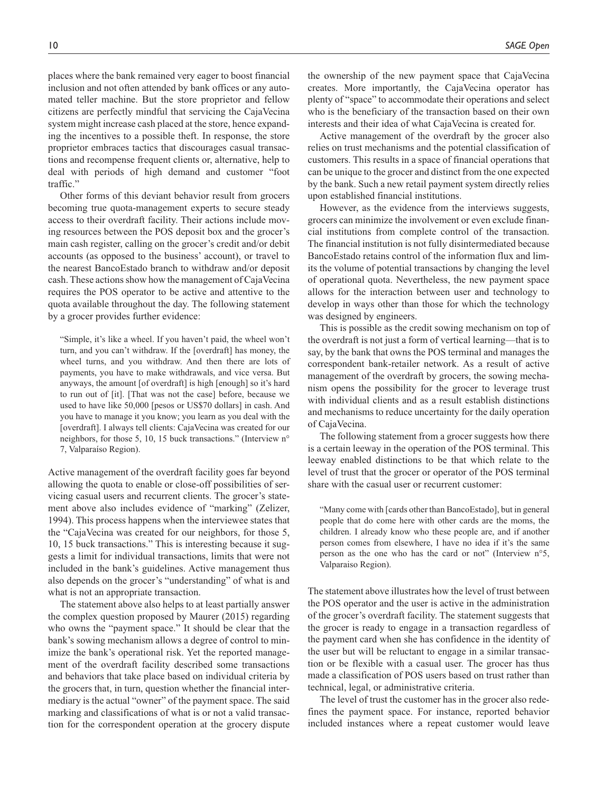places where the bank remained very eager to boost financial inclusion and not often attended by bank offices or any automated teller machine. But the store proprietor and fellow citizens are perfectly mindful that servicing the CajaVecina system might increase cash placed at the store, hence expanding the incentives to a possible theft. In response, the store proprietor embraces tactics that discourages casual transactions and recompense frequent clients or, alternative, help to deal with periods of high demand and customer "foot traffic."

Other forms of this deviant behavior result from grocers becoming true quota-management experts to secure steady access to their overdraft facility. Their actions include moving resources between the POS deposit box and the grocer's main cash register, calling on the grocer's credit and/or debit accounts (as opposed to the business' account), or travel to the nearest BancoEstado branch to withdraw and/or deposit cash. These actions show how the management of CajaVecina requires the POS operator to be active and attentive to the quota available throughout the day. The following statement by a grocer provides further evidence:

"Simple, it's like a wheel. If you haven't paid, the wheel won't turn, and you can't withdraw. If the [overdraft] has money, the wheel turns, and you withdraw. And then there are lots of payments, you have to make withdrawals, and vice versa. But anyways, the amount [of overdraft] is high [enough] so it's hard to run out of [it]. [That was not the case] before, because we used to have like 50,000 [pesos or US\$70 dollars] in cash. And you have to manage it you know; you learn as you deal with the [overdraft]. I always tell clients: CajaVecina was created for our neighbors, for those 5, 10, 15 buck transactions." (Interview n° 7, Valparaíso Region).

Active management of the overdraft facility goes far beyond allowing the quota to enable or close-off possibilities of servicing casual users and recurrent clients. The grocer's statement above also includes evidence of "marking" (Zelizer, 1994). This process happens when the interviewee states that the "CajaVecina was created for our neighbors, for those 5, 10, 15 buck transactions." This is interesting because it suggests a limit for individual transactions, limits that were not included in the bank's guidelines. Active management thus also depends on the grocer's "understanding" of what is and what is not an appropriate transaction.

The statement above also helps to at least partially answer the complex question proposed by Maurer (2015) regarding who owns the "payment space." It should be clear that the bank's sowing mechanism allows a degree of control to minimize the bank's operational risk. Yet the reported management of the overdraft facility described some transactions and behaviors that take place based on individual criteria by the grocers that, in turn, question whether the financial intermediary is the actual "owner" of the payment space. The said marking and classifications of what is or not a valid transaction for the correspondent operation at the grocery dispute

the ownership of the new payment space that CajaVecina creates. More importantly, the CajaVecina operator has plenty of "space" to accommodate their operations and select who is the beneficiary of the transaction based on their own interests and their idea of what CajaVecina is created for.

Active management of the overdraft by the grocer also relies on trust mechanisms and the potential classification of customers. This results in a space of financial operations that can be unique to the grocer and distinct from the one expected by the bank. Such a new retail payment system directly relies upon established financial institutions.

However, as the evidence from the interviews suggests, grocers can minimize the involvement or even exclude financial institutions from complete control of the transaction. The financial institution is not fully disintermediated because BancoEstado retains control of the information flux and limits the volume of potential transactions by changing the level of operational quota. Nevertheless, the new payment space allows for the interaction between user and technology to develop in ways other than those for which the technology was designed by engineers.

This is possible as the credit sowing mechanism on top of the overdraft is not just a form of vertical learning—that is to say, by the bank that owns the POS terminal and manages the correspondent bank-retailer network. As a result of active management of the overdraft by grocers, the sowing mechanism opens the possibility for the grocer to leverage trust with individual clients and as a result establish distinctions and mechanisms to reduce uncertainty for the daily operation of CajaVecina.

The following statement from a grocer suggests how there is a certain leeway in the operation of the POS terminal. This leeway enabled distinctions to be that which relate to the level of trust that the grocer or operator of the POS terminal share with the casual user or recurrent customer:

"Many come with [cards other than BancoEstado], but in general people that do come here with other cards are the moms, the children. I already know who these people are, and if another person comes from elsewhere, I have no idea if it's the same person as the one who has the card or not" (Interview n°5, Valparaiso Region).

The statement above illustrates how the level of trust between the POS operator and the user is active in the administration of the grocer's overdraft facility. The statement suggests that the grocer is ready to engage in a transaction regardless of the payment card when she has confidence in the identity of the user but will be reluctant to engage in a similar transaction or be flexible with a casual user. The grocer has thus made a classification of POS users based on trust rather than technical, legal, or administrative criteria.

The level of trust the customer has in the grocer also redefines the payment space. For instance, reported behavior included instances where a repeat customer would leave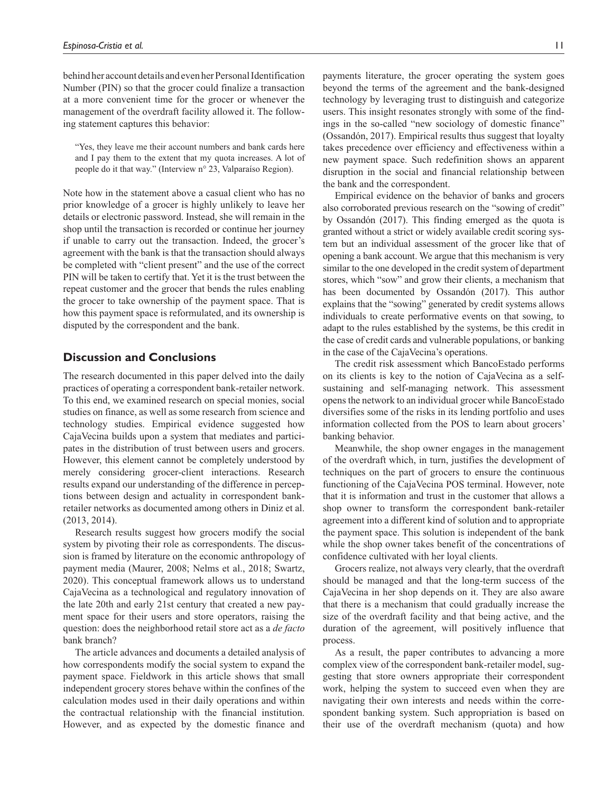behind her account details and even her Personal Identification Number (PIN) so that the grocer could finalize a transaction at a more convenient time for the grocer or whenever the management of the overdraft facility allowed it. The following statement captures this behavior:

"Yes, they leave me their account numbers and bank cards here and I pay them to the extent that my quota increases. A lot of people do it that way." (Interview n° 23, Valparaíso Region).

Note how in the statement above a casual client who has no prior knowledge of a grocer is highly unlikely to leave her details or electronic password. Instead, she will remain in the shop until the transaction is recorded or continue her journey if unable to carry out the transaction. Indeed, the grocer's agreement with the bank is that the transaction should always be completed with "client present" and the use of the correct PIN will be taken to certify that. Yet it is the trust between the repeat customer and the grocer that bends the rules enabling the grocer to take ownership of the payment space. That is how this payment space is reformulated, and its ownership is disputed by the correspondent and the bank.

# **Discussion and Conclusions**

The research documented in this paper delved into the daily practices of operating a correspondent bank-retailer network. To this end, we examined research on special monies, social studies on finance, as well as some research from science and technology studies. Empirical evidence suggested how CajaVecina builds upon a system that mediates and participates in the distribution of trust between users and grocers. However, this element cannot be completely understood by merely considering grocer-client interactions. Research results expand our understanding of the difference in perceptions between design and actuality in correspondent bankretailer networks as documented among others in Diniz et al. (2013, 2014).

Research results suggest how grocers modify the social system by pivoting their role as correspondents. The discussion is framed by literature on the economic anthropology of payment media (Maurer, 2008; Nelms et al., 2018; Swartz, 2020). This conceptual framework allows us to understand CajaVecina as a technological and regulatory innovation of the late 20th and early 21st century that created a new payment space for their users and store operators, raising the question: does the neighborhood retail store act as a *de facto* bank branch?

The article advances and documents a detailed analysis of how correspondents modify the social system to expand the payment space. Fieldwork in this article shows that small independent grocery stores behave within the confines of the calculation modes used in their daily operations and within the contractual relationship with the financial institution. However, and as expected by the domestic finance and

payments literature, the grocer operating the system goes beyond the terms of the agreement and the bank-designed technology by leveraging trust to distinguish and categorize users. This insight resonates strongly with some of the findings in the so-called "new sociology of domestic finance" (Ossandón, 2017). Empirical results thus suggest that loyalty takes precedence over efficiency and effectiveness within a new payment space. Such redefinition shows an apparent disruption in the social and financial relationship between the bank and the correspondent.

Empirical evidence on the behavior of banks and grocers also corroborated previous research on the "sowing of credit" by Ossandón (2017). This finding emerged as the quota is granted without a strict or widely available credit scoring system but an individual assessment of the grocer like that of opening a bank account. We argue that this mechanism is very similar to the one developed in the credit system of department stores, which "sow" and grow their clients, a mechanism that has been documented by Ossandón (2017). This author explains that the "sowing" generated by credit systems allows individuals to create performative events on that sowing, to adapt to the rules established by the systems, be this credit in the case of credit cards and vulnerable populations, or banking in the case of the CajaVecina's operations.

The credit risk assessment which BancoEstado performs on its clients is key to the notion of CajaVecina as a selfsustaining and self-managing network. This assessment opens the network to an individual grocer while BancoEstado diversifies some of the risks in its lending portfolio and uses information collected from the POS to learn about grocers' banking behavior.

Meanwhile, the shop owner engages in the management of the overdraft which, in turn, justifies the development of techniques on the part of grocers to ensure the continuous functioning of the CajaVecina POS terminal. However, note that it is information and trust in the customer that allows a shop owner to transform the correspondent bank-retailer agreement into a different kind of solution and to appropriate the payment space. This solution is independent of the bank while the shop owner takes benefit of the concentrations of confidence cultivated with her loyal clients.

Grocers realize, not always very clearly, that the overdraft should be managed and that the long-term success of the CajaVecina in her shop depends on it. They are also aware that there is a mechanism that could gradually increase the size of the overdraft facility and that being active, and the duration of the agreement, will positively influence that process.

As a result, the paper contributes to advancing a more complex view of the correspondent bank-retailer model, suggesting that store owners appropriate their correspondent work, helping the system to succeed even when they are navigating their own interests and needs within the correspondent banking system. Such appropriation is based on their use of the overdraft mechanism (quota) and how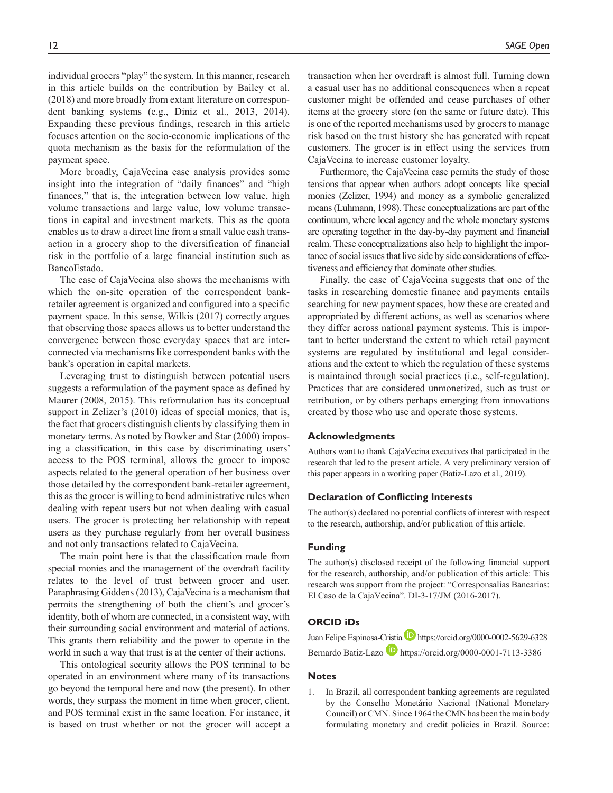individual grocers "play" the system. In this manner, research in this article builds on the contribution by Bailey et al. (2018) and more broadly from extant literature on correspondent banking systems (e.g., Diniz et al., 2013, 2014). Expanding these previous findings, research in this article focuses attention on the socio-economic implications of the quota mechanism as the basis for the reformulation of the payment space.

More broadly, CajaVecina case analysis provides some insight into the integration of "daily finances" and "high finances," that is, the integration between low value, high volume transactions and large value, low volume transactions in capital and investment markets. This as the quota enables us to draw a direct line from a small value cash transaction in a grocery shop to the diversification of financial risk in the portfolio of a large financial institution such as BancoEstado.

The case of CajaVecina also shows the mechanisms with which the on-site operation of the correspondent bankretailer agreement is organized and configured into a specific payment space. In this sense, Wilkis (2017) correctly argues that observing those spaces allows us to better understand the convergence between those everyday spaces that are interconnected via mechanisms like correspondent banks with the bank's operation in capital markets.

Leveraging trust to distinguish between potential users suggests a reformulation of the payment space as defined by Maurer (2008, 2015). This reformulation has its conceptual support in Zelizer's (2010) ideas of special monies, that is, the fact that grocers distinguish clients by classifying them in monetary terms. As noted by Bowker and Star (2000) imposing a classification, in this case by discriminating users' access to the POS terminal, allows the grocer to impose aspects related to the general operation of her business over those detailed by the correspondent bank-retailer agreement, this as the grocer is willing to bend administrative rules when dealing with repeat users but not when dealing with casual users. The grocer is protecting her relationship with repeat users as they purchase regularly from her overall business and not only transactions related to CajaVecina.

The main point here is that the classification made from special monies and the management of the overdraft facility relates to the level of trust between grocer and user. Paraphrasing Giddens (2013), CajaVecina is a mechanism that permits the strengthening of both the client's and grocer's identity, both of whom are connected, in a consistent way, with their surrounding social environment and material of actions. This grants them reliability and the power to operate in the world in such a way that trust is at the center of their actions.

This ontological security allows the POS terminal to be operated in an environment where many of its transactions go beyond the temporal here and now (the present). In other words, they surpass the moment in time when grocer, client, and POS terminal exist in the same location. For instance, it is based on trust whether or not the grocer will accept a

transaction when her overdraft is almost full. Turning down a casual user has no additional consequences when a repeat customer might be offended and cease purchases of other items at the grocery store (on the same or future date). This is one of the reported mechanisms used by grocers to manage risk based on the trust history she has generated with repeat customers. The grocer is in effect using the services from CajaVecina to increase customer loyalty.

Furthermore, the CajaVecina case permits the study of those tensions that appear when authors adopt concepts like special monies (Zelizer, 1994) and money as a symbolic generalized means (Luhmann, 1998). These conceptualizations are part of the continuum, where local agency and the whole monetary systems are operating together in the day-by-day payment and financial realm. These conceptualizations also help to highlight the importance of social issues that live side by side considerations of effectiveness and efficiency that dominate other studies.

Finally, the case of CajaVecina suggests that one of the tasks in researching domestic finance and payments entails searching for new payment spaces, how these are created and appropriated by different actions, as well as scenarios where they differ across national payment systems. This is important to better understand the extent to which retail payment systems are regulated by institutional and legal considerations and the extent to which the regulation of these systems is maintained through social practices (i.e., self-regulation). Practices that are considered unmonetized, such as trust or retribution, or by others perhaps emerging from innovations created by those who use and operate those systems.

#### **Acknowledgments**

Authors want to thank CajaVecina executives that participated in the research that led to the present article. A very preliminary version of this paper appears in a working paper (Batiz-Lazo et al., 2019).

#### **Declaration of Conflicting Interests**

The author(s) declared no potential conflicts of interest with respect to the research, authorship, and/or publication of this article.

#### **Funding**

The author(s) disclosed receipt of the following financial support for the research, authorship, and/or publication of this article: This research was support from the project: "Corresponsalías Bancarias: El Caso de la CajaVecina". DI-3-17/JM (2016-2017).

#### **ORCID iDs**

Juan Felipe Espinosa-Cristia **D** <https://orcid.org/0000-0002-5629-6328> Bernardo Batiz-Lazo **<https://orcid.org/0000-0001-7113-3386>** 

#### **Notes**

1. In Brazil, all correspondent banking agreements are regulated by the Conselho Monetário Nacional (National Monetary Council) or CMN. Since 1964 the CMN has been the main body formulating monetary and credit policies in Brazil. Source: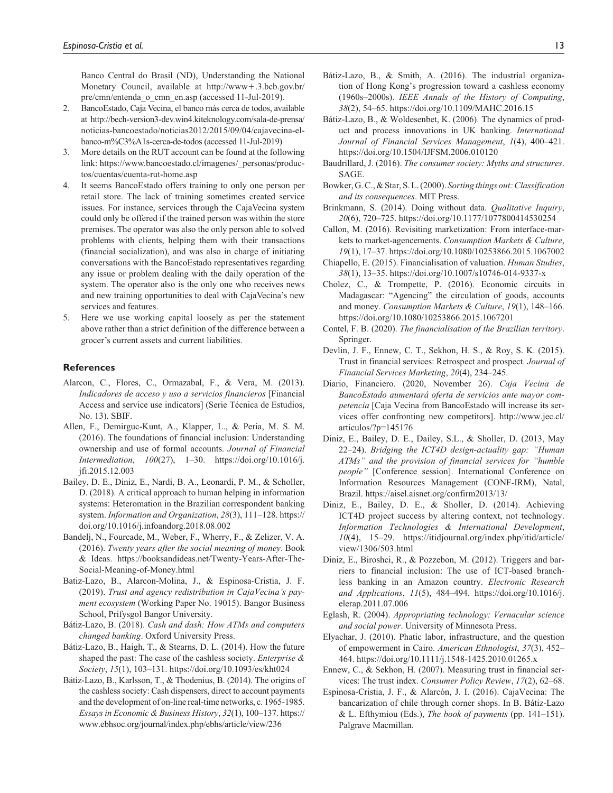Banco Central do Brasil (ND), Understanding the National Monetary Council, available at [http://www](http://www+.3.bcb.gov.br/pre/cmn/entenda_o_cmn_en.asp)+.3.bcb.gov.br/ pre/cmn/entenda\_o\_cmn\_en.asp (accessed 11-Jul-2019).

- 2. BancoEstado, Caja Vecina, el banco más cerca de todos, available at [http://bech-version3-dev.win4.kiteknology.com/sala-de-prensa/](http://bech-version3-dev.win4.kiteknology.com/sala-de-prensa/noticias-bancoestado/noticias2012/2015/09/04/cajavecina-el-banco-m%C3%A1s-cerca-de-todos) [noticias-bancoestado/noticias2012/2015/09/04/cajavecina-el](http://bech-version3-dev.win4.kiteknology.com/sala-de-prensa/noticias-bancoestado/noticias2012/2015/09/04/cajavecina-el-banco-m%C3%A1s-cerca-de-todos)[banco-m%C3%A1s-cerca-de-todos](http://bech-version3-dev.win4.kiteknology.com/sala-de-prensa/noticias-bancoestado/noticias2012/2015/09/04/cajavecina-el-banco-m%C3%A1s-cerca-de-todos) (accessed 11-Jul-2019)
- 3. More details on the RUT account can be found at the following link: [https://www.bancoestado.cl/imagenes/\\_personas/produc](https://www.bancoestado.cl/imagenes/_personas/productos/cuentas/cuenta-rut-home.asp)[tos/cuentas/cuenta-rut-home.asp](https://www.bancoestado.cl/imagenes/_personas/productos/cuentas/cuenta-rut-home.asp)
- 4. It seems BancoEstado offers training to only one person per retail store. The lack of training sometimes created service issues. For instance, services through the CajaVecina system could only be offered if the trained person was within the store premises. The operator was also the only person able to solved problems with clients, helping them with their transactions (financial socialization), and was also in charge of initiating conversations with the BancoEstado representatives regarding any issue or problem dealing with the daily operation of the system. The operator also is the only one who receives news and new training opportunities to deal with CajaVecina's new services and features.
- 5. Here we use working capital loosely as per the statement above rather than a strict definition of the difference between a grocer's current assets and current liabilities.

#### **References**

- Alarcon, C., Flores, C., Ormazabal, F., & Vera, M. (2013). *Indicadores de acceso y uso a servicios financieros* [Financial Access and service use indicators] (Serie Técnica de Estudios, No. 13). SBIF.
- Allen, F., Demirguc-Kunt, A., Klapper, L., & Peria, M. S. M. (2016). The foundations of financial inclusion: Understanding ownership and use of formal accounts. *Journal of Financial Intermediation*, *100*(27), 1–30. [https://doi.org/10.1016/j.](https://doi.org/10.1016/j.jfi.2015.12.003) [jfi.2015.12.003](https://doi.org/10.1016/j.jfi.2015.12.003)
- Bailey, D. E., Diniz, E., Nardi, B. A., Leonardi, P. M., & Scholler, D. (2018). A critical approach to human helping in information systems: Heteromation in the Brazilian correspondent banking system. *Information and Organization*, *28*(3), 111–128. [https://](https://doi.org/10.1016/j.infoandorg.2018.08.002) [doi.org/10.1016/j.infoandorg.2018.08.002](https://doi.org/10.1016/j.infoandorg.2018.08.002)
- Bandelj, N., Fourcade, M., Weber, F., Wherry, F., & Zelizer, V. A. (2016). *Twenty years after the social meaning of money*. Book & Ideas. [https://booksandideas.net/Twenty-Years-After-The-](https://booksandideas.net/Twenty-Years-After-The-Social-Meaning-of-Money.html)[Social-Meaning-of-Money.html](https://booksandideas.net/Twenty-Years-After-The-Social-Meaning-of-Money.html)
- Batiz-Lazo, B., Alarcon-Molina, J., & Espinosa-Cristia, J. F. (2019). *Trust and agency redistribution in CajaVecina's payment ecosystem* (Working Paper No. 19015). Bangor Business School, Prifysgol Bangor University.
- Bátiz-Lazo, B. (2018). *Cash and dash: How ATMs and computers changed banking*. Oxford University Press.
- Bátiz-Lazo, B., Haigh, T., & Stearns, D. L. (2014). How the future shaped the past: The case of the cashless society. *Enterprise & Society*, *15*(1), 103–131.<https://doi.org/10.1093/es/kht024>
- Bátiz-Lazo, B., Karlsson, T., & Thodenius, B. (2014). The origins of the cashless society: Cash dispensers, direct to account payments and the development of on-line real-time networks, c. 1965-1985. *Essays in Economic & Business History*, *32*(1), 100–137. [https://](https://www.ebhsoc.org/journal/index.php/ebhs/article/view/236) [www.ebhsoc.org/journal/index.php/ebhs/article/view/236](https://www.ebhsoc.org/journal/index.php/ebhs/article/view/236)
- Bátiz-Lazo, B., & Smith, A. (2016). The industrial organization of Hong Kong's progression toward a cashless economy (1960s–2000s). *IEEE Annals of the History of Computing*, *38*(2), 54–65.<https://doi.org/10.1109/MAHC.2016.15>
- Bátiz-Lazo, B., & Woldesenbet, K. (2006). The dynamics of product and process innovations in UK banking. *International Journal of Financial Services Management*, *1*(4), 400–421. <https://doi.org/10.1504/IJFSM.2006.010120>
- Baudrillard, J. (2016). *The consumer society: Myths and structures*. SAGE.
- Bowker, G. C., & Star, S. L. (2000). *Sorting things out: Classification and its consequences*. MIT Press.
- Brinkmann, S. (2014). Doing without data. *Qualitative Inquiry*, *20*(6), 720–725.<https://doi.org/10.1177/1077800414530254>
- Callon, M. (2016). Revisiting marketization: From interface-markets to market-agencements. *Consumption Markets & Culture*, *19*(1), 17–37.<https://doi.org/10.1080/10253866.2015.1067002>
- Chiapello, E. (2015). Financialisation of valuation. *Human Studies*, *38*(1), 13–35.<https://doi.org/10.1007/s10746-014-9337-x>
- Cholez, C., & Trompette, P. (2016). Economic circuits in Madagascar: "Agencing" the circulation of goods, accounts and money. *Consumption Markets & Culture*, *19*(1), 148–166. <https://doi.org/10.1080/10253866.2015.1067201>
- Contel, F. B. (2020). *The financialisation of the Brazilian territory*. Springer.
- Devlin, J. F., Ennew, C. T., Sekhon, H. S., & Roy, S. K. (2015). Trust in financial services: Retrospect and prospect. *Journal of Financial Services Marketing*, *20*(4), 234–245.
- Diario, Financiero. (2020, November 26). *Caja Vecina de BancoEstado aumentará oferta de servicios ante mayor competencia* [Caja Vecina from BancoEstado will increase its services offer confronting new competitors]. [http://www.jec.cl/](http://www.jec.cl/articulos/?p=145176) [articulos/?p=145176](http://www.jec.cl/articulos/?p=145176)
- Diniz, E., Bailey, D. E., Dailey, S.L., & Sholler, D. (2013, May 22–24). *Bridging the ICT4D design-actuality gap: "Human ATMs" and the provision of financial services for "humble people"* [Conference session]. International Conference on Information Resources Management (CONF-IRM), Natal, Brazil. <https://aisel.aisnet.org/confirm2013/13/>
- Diniz, E., Bailey, D. E., & Sholler, D. (2014). Achieving ICT4D project success by altering context, not technology. *Information Technologies & International Development*, *10*(4), 15–29. [https://itidjournal.org/index.php/itid/article/](https://itidjournal.org/index.php/itid/article/view/1306/503.html) [view/1306/503.html](https://itidjournal.org/index.php/itid/article/view/1306/503.html)
- Diniz, E., Biroshci, R., & Pozzebon, M. (2012). Triggers and barriers to financial inclusion: The use of ICT-based branchless banking in an Amazon country. *Electronic Research and Applications*, *11*(5), 484–494. [https://doi.org/10.1016/j.](https://doi.org/10.1016/j.elerap.2011.07.006) [elerap.2011.07.006](https://doi.org/10.1016/j.elerap.2011.07.006)
- Eglash, R. (2004). *Appropriating technology: Vernacular science and social power*. University of Minnesota Press.
- Elyachar, J. (2010). Phatic labor, infrastructure, and the question of empowerment in Cairo. *American Ethnologist*, *37*(3), 452– 464.<https://doi.org/10.1111/j.1548-1425.2010.01265.x>
- Ennew, C., & Sekhon, H. (2007). Measuring trust in financial services: The trust index. *Consumer Policy Review*, *17*(2), 62–68.
- Espinosa-Cristia, J. F., & Alarcón, J. I. (2016). CajaVecina: The bancarization of chile through corner shops. In B. Bátiz-Lazo & L. Efthymiou (Eds.), *The book of payments* (pp. 141–151). Palgrave Macmillan.